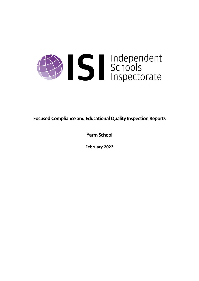

**Focused Compliance and EducationalQuality Inspection Reports**

**Yarm School**

**February 2022**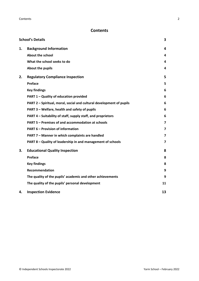# **Contents**

|    | <b>School's Details</b>                                              | 3                       |
|----|----------------------------------------------------------------------|-------------------------|
| 1. | <b>Background Information</b>                                        | 4                       |
|    | <b>About the school</b>                                              | 4                       |
|    | What the school seeks to do                                          | 4                       |
|    | About the pupils                                                     | 4                       |
| 2. | <b>Regulatory Compliance Inspection</b>                              | 5                       |
|    | Preface                                                              | 5                       |
|    | <b>Key findings</b>                                                  | 6                       |
|    | PART 1 - Quality of education provided                               | 6                       |
|    | PART 2 - Spiritual, moral, social and cultural development of pupils | 6                       |
|    | PART 3 - Welfare, health and safety of pupils                        | 6                       |
|    | PART 4 – Suitability of staff, supply staff, and proprietors         | 6                       |
|    | PART 5 - Premises of and accommodation at schools                    | 7                       |
|    | <b>PART 6 - Provision of information</b>                             | 7                       |
|    | PART 7 - Manner in which complaints are handled                      | 7                       |
|    | PART 8 - Quality of leadership in and management of schools          | $\overline{\mathbf{z}}$ |
| 3. | <b>Educational Quality Inspection</b>                                | 8                       |
|    | Preface                                                              | 8                       |
|    | <b>Key findings</b>                                                  | 8                       |
|    | <b>Recommendation</b>                                                | 9                       |
|    | The quality of the pupils' academic and other achievements           | 9                       |
|    | The quality of the pupils' personal development                      | 11                      |
| 4. | <b>Inspection Evidence</b>                                           | 13                      |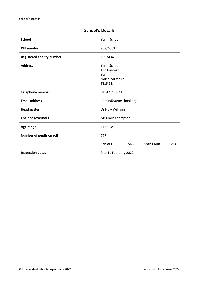| <b>School</b>                    | Yarm School                                                               |     |                   |     |
|----------------------------------|---------------------------------------------------------------------------|-----|-------------------|-----|
| <b>DfE</b> number                | 808/6002                                                                  |     |                   |     |
| <b>Registered charity number</b> | 1093434                                                                   |     |                   |     |
| <b>Address</b>                   | Yarm School<br>The Friarage<br>Yarm<br>North Yorkshire<br><b>TS15 9EJ</b> |     |                   |     |
| <b>Telephone number</b>          | 01642 786023                                                              |     |                   |     |
| <b>Email address</b>             | admin@yarmschool.org                                                      |     |                   |     |
| <b>Headmaster</b>                | Dr Huw Williams                                                           |     |                   |     |
| <b>Chair of governors</b>        | Mr Mark Thompson                                                          |     |                   |     |
| Age range                        | 11 to 18                                                                  |     |                   |     |
| Number of pupils on roll         | 777                                                                       |     |                   |     |
|                                  | <b>Seniors</b>                                                            | 563 | <b>Sixth Form</b> | 214 |
| <b>Inspection dates</b>          | 9 to 11 February 2022                                                     |     |                   |     |

# <span id="page-2-0"></span>**School's Details**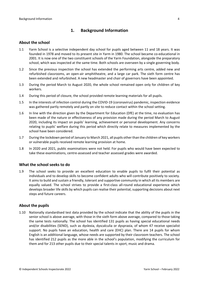# <span id="page-3-0"></span>**1. Background Information**

#### <span id="page-3-1"></span>**About the school**

- 1.1 Yarm School is a selective independent day school for pupils aged between 11 and 18 years. It was founded in 1978 and moved to its present site in Yarm in 1980. The school became co-educational in 2001. It is now one of the two constituent schools of the Yarm Foundation, alongside the preparatory school, which was inspected at the same time. Both schools are overseen by a single governing body.
- 1.2 Since the previous inspection the school has extended the performing arts centre, added new and refurbished classrooms, an open-air amphitheatre, and a large car park. The sixth form centre has been extended and refurbished. A new headmaster and chair of governors have been appointed.
- 1.3 During the period March to August 2020, the whole school remained open only for children of key workers.
- 1.4 During this period of closure, the school provided remote learning materials for all pupils.
- 1.5 In the interests of infection control during the COVID-19 (coronavirus) pandemic, inspection evidence was gathered partly remotely and partly on site to reduce contact within the school setting.
- 1.6 In line with the direction given by the Department for Education (DfE) at the time, no evaluation has been made of the nature or effectiveness of any provision made during the period March to August 2020, including its impact on pupils' learning, achievement or personal development. Any concerns relating to pupils' welfare during this period which directly relate to measures implemented by the school have been considered.
- 1.7 During the lockdown period of January to March 2021, all pupils other than the children of key workers or vulnerable pupils received remote learning provision at home.
- 1.8 In 2020 and 2021, public examinations were not held. For pupils who would have been expected to take these examinations, centre-assessed and teacher assessed grades were awarded.

#### <span id="page-3-2"></span>**What the school seeks to do**

1.9 The school seeks to provide an excellent education to enable pupils to fulfil their potential as individuals and to develop skills to become confident adults who will contribute positively to society. It aims to build and sustain a friendly, tolerant and supportive community in which all its members are equally valued. The school strives to provide a first-class all-round educational experience which develops broader life skills by which pupils can realise their potential, supporting decisions about next steps and future careers.

## <span id="page-3-3"></span>**About the pupils**

1.10 Nationally standardised test data provided by the school indicate that the ability of the pupils in the senior school is above average, with those in the sixth form above average, compared to those taking the same tests nationally. The school has identified 131 pupils as having special educational needs and/or disabilities (SEND), such as dyslexia, dyscalculia or dyspraxia, of whom 47 receive specialist support. No pupils have an education, health and care (EHC) plan. There are 14 pupils for whom English is an additional language, whose needs are supported by their classroom teachers. The school has identified 212 pupils as the more able in the school's population, modifying the curriculum for them and for 213 other pupils due to their special talents in sport, music and drama.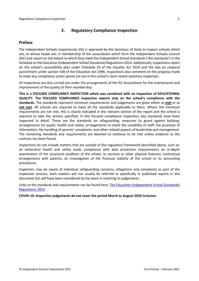# <span id="page-4-0"></span>**2. Regulatory Compliance Inspection**

# <span id="page-4-1"></span>**Preface**

The Independent Schools Inspectorate (ISI) is approved by the Secretary of State to inspect schools which are, or whose heads are, in membership of the associations which form the Independent Schools Council (ISC) and report on the extent to which they meet the Independent School Standards ('the standards') in the Schedule to the Education (Independent School Standards) Regulations 2014. Additionally, inspectionsreport on the school's accessibility plan under Schedule 10 of the Equality Act 2010 and the ban on corporal punishment under section 548 of the Education Act 1996. Inspections also comment on the progress made to meet any compliance action points set out in the school's most recent statutory inspection.

ISI inspections are also carried out under the arrangements of the ISC Associations for the maintenance and improvement of the quality of their membership.

**This is a FOCUSED COMPLIANCE INSPECTION which was combined with an inspection of EDUCATIONAL QUALITY. The FOCUSED COMPLIANCE inspection reports only on the school's compliance with the standards.** The standards represent minimum requirements and judgements are given either as **met** or as **not met**. All schools are required to meet all the standards applicable to them. Where the minimum requirements are not met, this is clearly indicated in the relevant section of the report and the school is required to take the actions specified. In this focused compliance inspection, key standards have been inspected in detail. These are the standards on safeguarding; measures to guard against bullying; arrangements for pupils' health and safety; arrangements to check the suitability of staff; the provision of information; the handling of parents' complaints; and other related aspects of leadership and management. The remaining standards and requirements are deemed to continue to be met unless evidence to the contrary has been found.

Inspections do not include matters that are outside of the regulatory framework described above, such as: an exhaustive health and safety audit; compliance with data protection requirements; an in-depth examination of the structural condition of the school, its services or other physical features; contractual arrangements with parents; an investigation of the financial viability of the school or its accounting procedures.

Inspectors may be aware of individual safeguarding concerns, allegations and complaints as part of the inspection process. Such matters will not usually be referred to specifically in published reports in this document but will have been considered by the team in reaching its judgements.

Links to the standards and requirements can be found here: The Education [\(Independent](http://www.legislation.gov.uk/uksi/2014/3283/contents/made) School Standards) [Regulations](http://www.legislation.gov.uk/uksi/2014/3283/contents/made) 2014.

**COVID-19: Inspection judgements do not cover the period March to August 2020 inclusive.**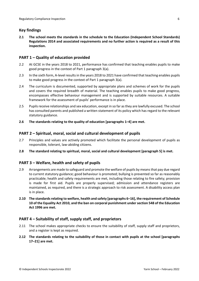# <span id="page-5-0"></span>**Key findings**

**2.1 The school meets the standards in the schedule to the Education (Independent School Standards) Regulations 2014 and associated requirements and no further action is required as a result of this inspection.**

# <span id="page-5-1"></span>**PART 1 – Quality of education provided**

- 2.2 At GCSE in the years 2018 to 2021, performance has confirmed that teaching enables pupils to make good progress in the context of Part 1 paragraph 3(a).
- 2.3 In the sixth form, A-level results in the years 2018 to 2021 have confirmed that teaching enables pupils to make good progress in the context of Part 1 paragraph 3(a).
- 2.4 The curriculum is documented, supported by appropriate plans and schemes of work for the pupils and covers the required breadth of material. The teaching enables pupils to make good progress, encompasses effective behaviour management and is supported by suitable resources. A suitable framework for the assessment of pupils' performance is in place.
- 2.5 Pupils receive relationships and sex education, except in so far as they are lawfully excused. The school has consulted parents and published a written statement of its policy which has regard to the relevant statutory guidance.
- **2.6 The standards relating to the quality of education [paragraphs 1–4] are met.**

# <span id="page-5-2"></span>**PART 2 – Spiritual, moral, social and cultural development of pupils**

- 2.7 Principles and values are actively promoted which facilitate the personal development of pupils as responsible, tolerant, law-abiding citizens.
- **2.8 The standard relating to spiritual, moral, social and cultural development [paragraph 5] is met.**

# <span id="page-5-3"></span>**PART 3 – Welfare, health and safety of pupils**

- 2.9 Arrangements are made to safeguard and promote the welfare of pupils by means that pay due regard to current statutory guidance; good behaviour is promoted; bullying is prevented so far as reasonably practicable; health and safety requirements are met, including those relating to fire safety; provision is made for first aid. Pupils are properly supervised; admission and attendance registers are maintained, as required, and there is a strategic approach to risk assessment. A disability access plan is in place.
- **2.10 The standardsrelating to welfare, health and safety [paragraphs 6–16], the requirement of Schedule 10 of the Equality Act 2010, and the ban on corporal punishment undersection 548 of the Education Act 1996 are met.**

## <span id="page-5-4"></span>**PART 4 – Suitability of staff, supply staff, and proprietors**

- 2.11 The school makes appropriate checks to ensure the suitability of staff, supply staff and proprietors, and a register is kept as required.
- **2.12 The standards relating to the suitability of those in contact with pupils at the school [paragraphs 17–21] are met.**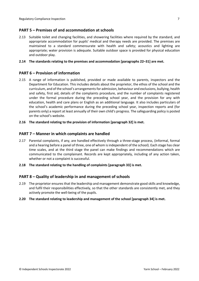# <span id="page-6-0"></span>**PART 5 – Premises of and accommodation at schools**

2.13 Suitable toilet and changing facilities, and showering facilities where required by the standard, and appropriate accommodation for pupils' medical and therapy needs are provided. The premises are maintained to a standard commensurate with health and safety; acoustics and lighting are appropriate; water provision is adequate. Suitable outdoor space is provided for physical education and outdoor play.

#### **2.14 The standards relating to the premises and accommodation [paragraphs 22–31] are met.**

## <span id="page-6-1"></span>**PART 6 – Provision of information**

- 2.15 A range of information is published, provided or made available to parents, inspectors and the Department for Education. This includes details about the proprietor, the ethos of the school and the curriculum, and of the school's arrangementsfor admission, behaviour and exclusions, bullying, health and safety, first aid, details of the complaints procedure, and the number of complaints registered under the formal procedure during the preceding school year, and the provision for any with education, health and care plans or English as an additional language. It also includes particulars of the school's academic performance during the preceding school year, inspection reports and (for parents only) a report at least annually of their own child's progress. The safeguarding policy is posted on the school's website.
- **2.16 The standard relating to the provision of information [paragraph 32] is met.**

#### <span id="page-6-2"></span>**PART 7 – Manner in which complaints are handled**

- 2.17 Parental complaints, if any, are handled effectively through a three-stage process, (informal, formal and a hearing before a panel of three, one of whom is independent of the school). Each stage has clear time scales, and at the third stage the panel can make findings and recommendations which are communicated to the complainant. Records are kept appropriately, including of any action taken, whether or not a complaint is successful.
- **2.18 The standard relating to the handling of complaints [paragraph 33] is met.**

## <span id="page-6-3"></span>**PART 8 – Quality of leadership in and management of schools**

- 2.19 The proprietor ensures that the leadership and management demonstrate good skills and knowledge, and fulfil their responsibilities effectively, so that the other standards are consistently met, and they actively promote the well-being of the pupils.
- **2.20 The standard relating to leadership and management of the school [paragraph 34] is met.**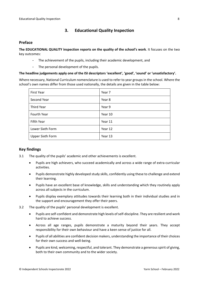# <span id="page-7-0"></span>**3. Educational Quality Inspection**

### <span id="page-7-1"></span>**Preface**

**The EDUCATIONAL QUALITY inspection reports on the quality of the school's work**. It focuses on the two key outcomes:

- The achievement of the pupils, including their academic development, and
- The personal development of the pupils.

#### **The headline judgements apply one of the ISI descriptors 'excellent', 'good', 'sound' or 'unsatisfactory'.**

Where necessary, National Curriculum nomenclature is used to refer to year groups in the school. Where the school's own names differ from those used nationally, the details are given in the table below:

| <b>First Year</b>       | Year 7  |
|-------------------------|---------|
| Second Year             | Year 8  |
| Third Year              | Year 9  |
| Fourth Year             | Year 10 |
| Fifth Year              | Year 11 |
| Lower Sixth Form        | Year 12 |
| <b>Upper Sixth Form</b> | Year 13 |

## <span id="page-7-2"></span>**Key findings**

- 3.1 The quality of the pupils' academic and other achievements is excellent.
	- Pupils are high achievers, who succeed academically and across a wide range of extra-curricular activities.
	- Pupils demonstrate highly developed study skills, confidently using these to challenge and extend their learning.
	- Pupils have an excellent base of knowledge, skills and understanding which they routinely apply across all subjects in the curriculum.
	- Pupils display exemplary attitudes towards their learning both in their individual studies and in the support and encouragement they offer their peers.
- 3.2 The quality of the pupils' personal development is excellent.
	- Pupils are self-confident and demonstrate high levels of self-discipline. They are resilient and work hard to achieve success.
	- Across all age ranges, pupils demonstrate a maturity beyond their years. They accept responsibility for their own behaviour and have a keen sense of justice for all.
	- Pupils of all abilities are confident decision makers, understanding the importance of their choices for their own success and well-being.
	- Pupils are kind, welcoming, respectful, and tolerant. They demonstrate a generous spirit of giving, both to their own community and to the wider society.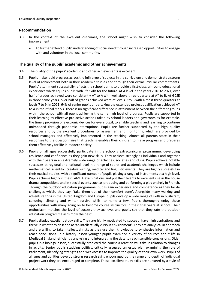#### <span id="page-8-0"></span>**Recommendation**

- 3.3 In the context of the excellent outcomes, the school might wish to consider the following improvement:
	- To further extend pupils' understanding of social need through increased opportunities to engage with and volunteer in the local community.

#### <span id="page-8-1"></span>**The quality of the pupils' academic and other achievements**

- 3.4 The quality of the pupils' academic and other achievements is excellent.
- 3.5 Pupils make rapid progress acrossthe fullrange ofsubjectsin the curriculum and demonstrate a strong level of achievement both in their academic studies and through their extracurricular commitments. Pupils' attainment successfully reflects the school's aims to provide a first-class, all-round educational experience which equips pupils with life skills for the future. At A level in the years 2018 to 2021, over half of grades achieved were consistently A\* to A with well above three-quarters at A\* to B. At GCSE in those same years, over half of grades achieved were at levels 9 to 8 with almost three-quarters at levels 7 to 9. In 2021, 64% of senior pupils undertaking the extended project qualification achieved A\* to A in their final marks. There is no significant difference in attainment between the different groups within the school with all pupils achieving the same high level of progress. Pupils are supported in their learning by effective pro-active actions taken by school leaders and governors as for example, the timely provision of electronic devices for every pupil, to enable teaching and learning to continue unimpeded through pandemic interruptions. Pupils are further supported by the high quality resources and by the excellent procedures for assessment and monitoring, which are provided by school managers and effectively implemented in the teaching. Almost all parents state in their responses to the questionnaire that teaching enables their children to make progress and prepares them effectively for life in modern society.
- 3.6 Pupils of all ages successfully participate in the school's extracurricular programme, developing resilience and confidence as they gain new skills. They achieve strongly as individuals and together with their peers in an extremely wide range of activities, societies and clubs. Pupils achieve notable successes at regional and national level in a range of sports and academic challenges which include mathematical, scientific, creative writing, medical and linguistic events. They are highly successful in their musical studies, with a significant number of pupils playing a range of instruments at a high level. Pupils achieve highly in their LAMDA examinations and put their talents to excellent use in the house drama competitions and in special events such as producing and performing a play entirely in French. Through the outdoor education programme, pupils gain experience and competence as they tackle challenges which, they say, 'take them out of their comfort zone'. Alongside many walking and adventure trips in the United Kingdom and Europe, pupils develop a wide range of skills in bushcraft, canoeing, climbing and winter survival skills, to name a few. Pupils thoroughly enjoy these opportunities with many going on to become course instructors in their final years at school. Their enthusiasm matches the level of success they achieve, and pupils say that they rate the outdoor education programme as 'simply the best'.
- 3.7 Pupils display excellent study skills. They are highly motivated to succeed, have high aspirations and thrive in what they describe as 'an intellectually curious environment'. They are analytical in approach and are willing to take intellectual risks as they use their knowledge to synthesise information and reach conclusions. In a history lesson younger pupils examined a variety of sources about life in Medieval England, efficiently analysing and interpreting the data to reach sensible conclusions. Older pupils in a biology lesson, successfully predicted the course a reaction will take in relation to changes in acidity. Senior pupils studying politics, critically assessed an essay plan examining the role of Parliament, identifying strengths and weaknesses to improve the quality of their own work. Pupils of all ages and abilities develop strong research skills encouraged by the range and depth of individual project work they are encouraged to complete. These excellent study skills are nurtured by a style of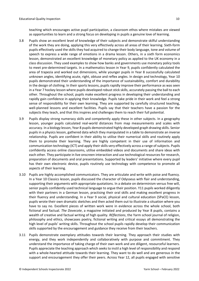teaching which encourages active pupil participation, a classroom ethos where mistakes are viewed as opportunities to learn and a strong focus on developing in pupils a genuine love of learning.

- 3.8 Pupils show an excellent level of knowledge of their subjects and demonstrate skilful understanding of the work they are doing, applying this very effectively across all areas of their learning. Sixth-form pupils effectively used the skills they had acquired to change their body language, tone and volume of speech to express a wide range of emotions in a drama lesson. Others, in a sixth form economics lesson, demonstrated an excellent knowledge of monetary policy as applied to the UK economy in a class discussion. They used examples to show how banks and governments use monetary policy tools to meet pre-determined targets. In a mathematics lesson in Year 9, pupils confidently calculated the area of trapezia and worked out dimensions, while younger pupils in Year 8 successfully calculated unknown angles, identifying acute, right, obtuse and reflex angles. In design and technology, Year 10 pupils demonstrated their understanding of the importance of sustainability, comfort and durability in the design of clothing. In their sports lessons, pupils rapidly improve their performance as was seen in a Year 7 hockey lesson where pupils developed robust stick skills, accurately passing the ball to each other. Throughout the school, pupils make excellent progress in developing their understanding and rapidly gain confidence in applying their knowledge. Pupils take pride in their work and feel a strong sense of responsibility for their own learning. They are supported by carefully structured teaching, well-planned lessons and excellent facilities. Pupils say that their teachers have a passion for the subjects they teach, and that this inspires and challenges them to reach their full potential.
- 3.9 Pupils display strong numeracy skills and competently apply these in other subjects. In a geography lesson, younger pupils calculated real-world distances from map measurements and scales with accuracy. In a biology lesson, Year 8 pupils demonstrated highly developed graph drawing skills. Senior pupils in a physics lesson, gathered data which they manipulated in a table to demonstrate an inverse relationship. Pupils are confident in their ability to utilise their numerical skills and routinely apply them to promote their learning. They are highly competent in their use of information and communication technology (ICT) and apply their skills very effectively across a range of subjects. Pupils confidently access online classrooms, utilise embedded videos and documents and share ideas with each other. They participate in live onscreen interaction and use technological resources for research, preparation of documents and oral presentations. Supported by leaders' initiative where every pupil has their own electronic device, pupils routinely use technology with competence to promote all aspects of their learning.
- 3.10 Pupils are highly accomplished communicators. They are articulate and write with poise and fluency. In a Year 10 Classics lesson, pupils discussed the character of Odysseus with flair and understanding, supporting their arguments with appropriate quotations. In a debate on determinism versus free will, senior pupils confidently used technical language to argue their position. Y11 pupils worked diligently with their partners in a German lesson, practising their oral skills and making excellent progress in their fluency and understanding. In a Year 9 social, physical and cultural education (SPaCE) lesson, pupils wrote their own dramatic sketches and then acted them out to illustrate a situation where you have to say no. Excellent pieces of written work were in evidence across the whole school, both fictional and factual. *The Dovecote*, a magazine initiated and produced by Year 8 pupils, contains a wealth of creative and factual writing of high quality. *REflections*, the Yarm school journal of religion, philosophy and ethics, showcases poetry, fictional writing and critical essays all demonstrating the high level of pupils' writing skills. Throughout the school pupils rapidly develop their communication skills supported by the encouragement and guidance they receive from their teachers.
- 3.11 Pupils demonstrate exemplary attitudes towards their learning. They approach their studies with energy, and they work independently and collaboratively with purpose and commitment. They understand the importance of taking charge of their own work and are diligent, resourceful learners. Pupils appreciate the teaching approach which seeksto instil a high level of responsibility and respond with a whole-hearted attitude towards their learning. They want to do well and are generous in the support and encouragement they offer their peers. Across Year 12, all pupils engaged with sensitive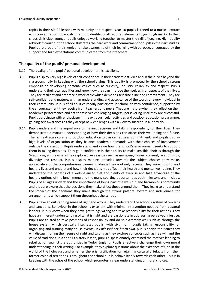topics in their SPaCE lessons with maturity and respect. Year 10 pupils listened to a musical extract with concentration, obviously intent on identifying all required elements to gain high marks. In their circus skills club, younger pupils enjoyed working together to master the skill of juggling. High-quality artwork throughout the school illustrates the hard work and commitment of pupils in their art studies. Pupils are proud of their work and take ownership of their learning with purpose, encouraged by the support and high expectations communicated from their teachers.

### <span id="page-10-0"></span>**The quality of the pupils' personal development**

- 3.12 The quality of the pupils' personal development is excellent.
- 3.13 Pupils display very high levels of self-confidence in their academic studies and in their lives beyond the classroom, fully in keeping with the school's aims. This quality is promoted by the school's strong emphasis on developing personal values such as curiosity, industry, reliability and respect. Pupils understand their own qualities and know how they can improve themselvesin all aspects of their lives. They are resilient and embrace a work ethic which demands self-discipline and commitment. They are self-confident and mature, with an understanding and acceptance of the worth of every individual in their community. Pupils of all abilities readily participate in school life with confidence, supported by the encouragement they receive from teachers and peers. They are mature when they reflect on their academic performance and set themselves challenging targets, persevering until they are successful. Pupils participate with enthusiasm in the extracurricular activities and outdoor education programme, gaining self-awareness as they accept new challenges with a view to succeed in all they do.
- 3.14 Pupils understand the importance of making decisions and taking responsibility for their lives. They demonstrate a mature understanding of how their decisions can affect their well-being and future. The rich extracurricular and outdoor education provision requires commitment, and pupils display high levels of organisation as they balance academic demands with their choices of involvement outside the classroom. Pupils understand and value how the school's environment seeks to support them in taking decisions. They gain confidence in their ability to make sensible choices through the SPaCE programme where they explore diverse issues such as managing money, consent, relationships, diversity and respect. Pupils display mature attitudes towards the subject choices they make, appreciative of the comprehensive careers guidance they routinely receive. They know how to lead healthy lives and understand how their decisions may affect their health and mental well-being. They understand the benefits of a well-balanced diet and plenty of exercise and take advantage of the healthy options of the lunch menu and the many sporting opportunities both in lessons and in clubs. Pupils of all ages understand the importance of being part of a well-run and harmonious community and they are aware that the decisions they make affect those around them. They learn to understand the impact of the decisions they make through the strong pastoral system and individual tutor arrangements which support them throughout the school.
- 3.15 Pupils have an outstanding sense of right and wrong. They understand the school's system of rewards and sanctions. Behaviour in the school is excellent with minimal intervention needed from pastoral leaders. Pupils know when they have got things wrong and take responsibility for their actions. They have an inherent understanding of what is right and are passionate in addressing perceived injustice. Pupils are trusted to take positions of responsibility and do so extremely well such as through the house system which vertically integrates pupils, with sixth form pupils taking responsibility for organising and running many house events. In *Philosophers' lunch club*, pupils decide the issues they will discuss, honing their sense of right and wrong as they explore concepts such as free will and the value of traditions. In a Year 13 history lesson, pupils dispassionately examined the motives leading to rebel action against the authorities in Tudor England. Pupils effectively challenge their own moral understanding in their writing. For example, they explore questions about the existence of God in the world of the holocaust and whether there is justification for retaining cultural artefacts from their former colonial territories. Throughout the school pupils behave kindly towards each other. This is in keeping with the ethos of the school which promotes a clear understanding of moral choices.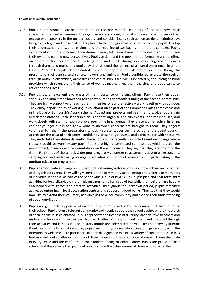- 3.16 Pupils demonstrate a strong appreciation of the non-material elements of life and how these strengthen their self-awareness. They gain an understanding of what is means to be human as they engage with speakers in the politics society and consider issues such as human rights, criminology, living as a refugee and the use of military force. In their religion and philosophy lessons, pupils develop their understanding of world religions and the meaning of spirituality in different contexts. Pupils experiment with new persona in their drama lessons, taking on character personalities different from their own and gaining new perspectives. Pupils understand the power of performance and its effect on others. Online performances involving staff and pupils during lockdown, engaged audiences through drama and music, and pupils say strengthened the feelings of a shared experience. In an art lesson, Year 10 pupils demonstrated individual appreciation of nature in their thoughtful presentations of sunrise and sunset, flowers and animals. Pupils confidently express themselves through music in ensembles, orchestras and choirs. Pupils feel well supported by the strong pastoral provision which strengthens their sense of well-being and gives them the time and opportunity to reflect on their lives.
- 3.17 Pupils show an excellent awareness of the importance of helping others. Pupils take their duties seriously and understand how their roles contribute to the smooth running of their school community. They are highly supportive of each other in their lessons and effectively work together with purpose. They enjoy opportunities of working in collaboration as part of the Combined Cadet Force corps and in The Duke of Edinburgh's Award scheme. As captains, prefects and peer mentors, older pupils gain and demonstrate valuable leadership skills as they organise and run events, lead their houses, and work closely with staff, for example, overseeing the lunch queue. They present an effective 'listening ear' for younger pupils and know what to do when concerns are brought to them. They eagerly volunteer to help in the preparatory school. Representatives on the school and student councils appreciate the trust of their peers, confidently presenting requests and concerns for wider scrutiny. They undertake their duties diligently. The school council recently supported a uniform change where trousers could be worn by any pupil. Pupils are highly committed to measures which protect the environment, many as eco representatives on the eco council. They say that they are proud of the Green Flag status of the school. Older pupils regularly volunteer to accompany adventure excursions, camping out and undertaking a range of activities in support of younger pupils participating in the outdoor education programme.
- 3.18 Pupils demonstrate a strong commitment to fund raising with each house choosing their own charities and organising events. They willingly serve on the community action group and undertake many acts of individual kindness. As part of the nationwide group of PHAB clubs, pupils plan and host fortnightly activities for local disabled children, giving carers time for a cup of tea while their children are happily entertained with games and creative activities. Throughout the lockdown period, pupils remained active, volunteering in local vaccination centres and supporting food banks. They say that they would now like to extend their voluntary activities in the wider community and extend their understanding of social deprivation.
- 3.19 Pupils are genuinely supportive of each other and are proud of the welcoming, inclusive nature of their school. Pupils form a tolerant community and keenly support the school's ethos where the worth of each individual is celebrated. Pupils appreciate the richness of diversity, are sensitive to others and understand how much they can learn from each other. Pupils examined racism and its impact through their activities and lessons in Black History month and celebrated individuality and diversity in Pride Week. As a school council initiative, pupils are forming a diversity society alongside staff, with the intention to welcome all to participate in open dialogue and explore a variety of current topics. Pupils feel very well looked after in their school. They understand the importance of keeping themselves safe in every sense and are confident in their understanding of online safety. Pupils are proud of their school, and this reflects the quality of provision and the achievement of those who care for them.